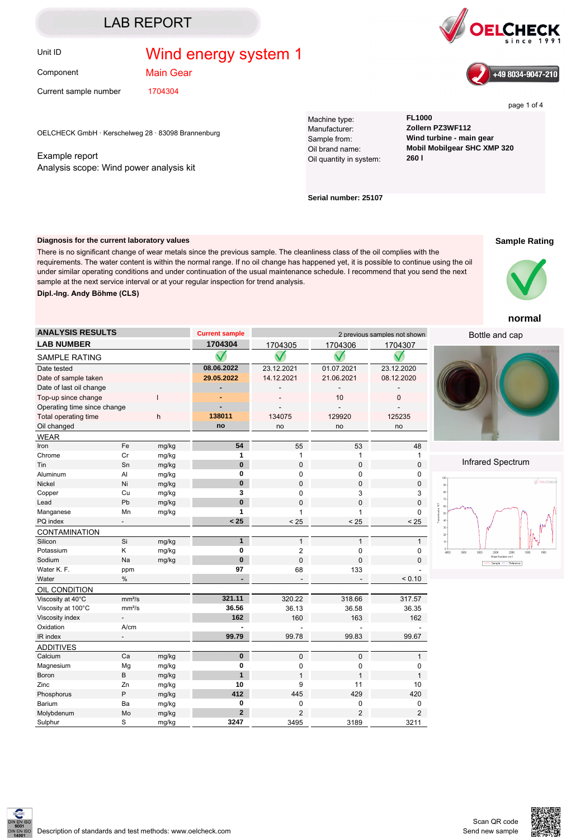# Unit ID **Wind energy system 1**

Component

Main Gear

Current sample number 1704304

OELCHECK GmbH · Kerschelweg 28 · 83098 Brannenburg

### Example report Analysis scope: Wind power analysis kit

Machine type: **FL1000** Manufacturer: **Zollern PZ3WF112** Oil quantity in system:

Sample from: **Wind turbine - main gear** Oil brand name: **Mobil Mobilgear SHC XMP 320**

**Serial number: 25107**

### **Diagnosis for the current laboratory values**

There is no significant change of wear metals since the previous sample. The cleanliness class of the oil complies with the requirements. The water content is within the normal range. If no oil change has happened yet, it is possible to continue using the oil under similar operating conditions and under continuation of the usual maintenance schedule. I recommend that you send the next sample at the next service interval or at your regular inspection for trend analysis.



| <b>ANALYSIS RESULTS</b>     |                    |        | <b>Current sample</b> | 2 previous samples not shown |                |                |                |
|-----------------------------|--------------------|--------|-----------------------|------------------------------|----------------|----------------|----------------|
| <b>LAB NUMBER</b>           |                    |        | 1704304               | 1704305                      | 1704306        | 1704307        |                |
| <b>SAMPLE RATING</b>        |                    |        |                       |                              |                |                |                |
| Date tested                 |                    |        | 08.06.2022            | 23.12.2021                   | 01.07.2021     | 23.12.2020     |                |
| Date of sample taken        |                    |        | 29.05.2022            | 14.12.2021                   | 21.06.2021     | 08.12.2020     |                |
| Date of last oil change     |                    |        |                       |                              |                |                |                |
| Top-up since change         |                    | ı      |                       |                              | 10             | 0              |                |
| Operating time since change |                    |        |                       |                              |                |                |                |
| Total operating time<br>h   |                    | 138011 | 134075                | 129920                       | 125235         |                |                |
| Oil changed                 |                    |        | no                    | no                           | no             | no             |                |
| <b>WEAR</b>                 |                    |        |                       |                              |                |                |                |
| Iron                        | Fe                 | mg/kg  | 54                    | 55                           | 53             | 48             |                |
| Chrome                      | Cr                 | mg/kg  | 1                     | 1                            | 1              | 1              |                |
| Tin                         | Sn                 | mg/kg  | $\bf{0}$              | $\overline{0}$               | $\mathbf 0$    | $\mathbf 0$    |                |
| Aluminum                    | Al                 | mg/kg  | 0                     | 0                            | 0              | 0              | $100 -$        |
| <b>Nickel</b>               | Ni                 | mg/kg  | $\bf{0}$              | $\mathbf 0$                  | $\mathbf 0$    | 0              | $90\,$         |
| Copper                      | Cu                 | mg/kg  | 3                     | 0                            | 3              | 3              | $80 \cdot$     |
| Lead                        | Pb                 | mg/kg  | $\bf{0}$              | 0                            | 0              | 0              | $70 -$<br>60   |
| Manganese                   | Mn                 | mg/kg  | 1                     | 1                            | 1              | 0              | $60$           |
| PQ index                    | $\overline{a}$     |        | < 25                  | < 25                         | < 25           | < 25           | ğ<br>$40 -$    |
| CONTAMINATION               |                    |        |                       |                              |                |                | $30\,$<br>$20$ |
| Silicon                     | Si                 | mg/kg  | $\mathbf{1}$          | $\mathbf{1}$                 | $\mathbf{1}$   | $\mathbf{1}$   | $10 -$         |
| Potassium                   | Κ                  | mg/kg  | 0                     | $\overline{c}$               | 0              | 0              | $\frac{0}{40}$ |
| Sodium                      | Na                 | mg/kg  | $\bf{0}$              | $\Omega$                     | $\Omega$       | 0              |                |
| Water K. F.                 | ppm                |        | 97                    | 68                           | 133            |                |                |
| Water                       | $\%$               |        |                       |                              |                | < 0.10         |                |
| OIL CONDITION               |                    |        |                       |                              |                |                |                |
| Viscosity at 40°C           | mm <sup>2</sup> /s |        | 321.11                | 320.22                       | 318.66         | 317.57         |                |
| Viscosity at 100°C          | mm <sup>2</sup> /s |        | 36.56                 | 36.13                        | 36.58          | 36.35          |                |
| Viscosity index             |                    |        | 162                   | 160                          | 163            | 162            |                |
| Oxidation                   | A/cm               |        |                       |                              |                |                |                |
| IR index                    |                    |        | 99.79                 | 99.78                        | 99.83          | 99.67          |                |
| <b>ADDITIVES</b>            |                    |        |                       |                              |                |                |                |
| Calcium                     | Ca                 | mg/kg  | $\mathbf 0$           | 0                            | 0              | 1              |                |
| Magnesium                   | Mg                 | mg/kg  | 0                     | 0                            | 0              | 0              |                |
| <b>Boron</b>                | B                  | mg/kg  | $\mathbf{1}$          | $\mathbf{1}$                 | $\mathbf{1}$   | $\mathbf{1}$   |                |
| Zinc                        | Zn                 | mg/kg  | 10                    | 9                            | 11             | 10             |                |
| Phosphorus                  | P                  | mg/kg  | 412                   | 445                          | 429            | 420            |                |
| Barium                      | Ba                 | mg/kg  | 0                     | 0                            | 0              | 0              |                |
| Molybdenum                  | Mo                 | mg/kg  | $\overline{2}$        | $\overline{2}$               | $\overline{2}$ | $\overline{2}$ |                |
| Sulphur                     | S                  | mg/kg  | 3247                  | 3495                         | 3189           | 3211           |                |

#### **Sample Rating**



## **normal**





## Infrared Spectrum









page 1 of 4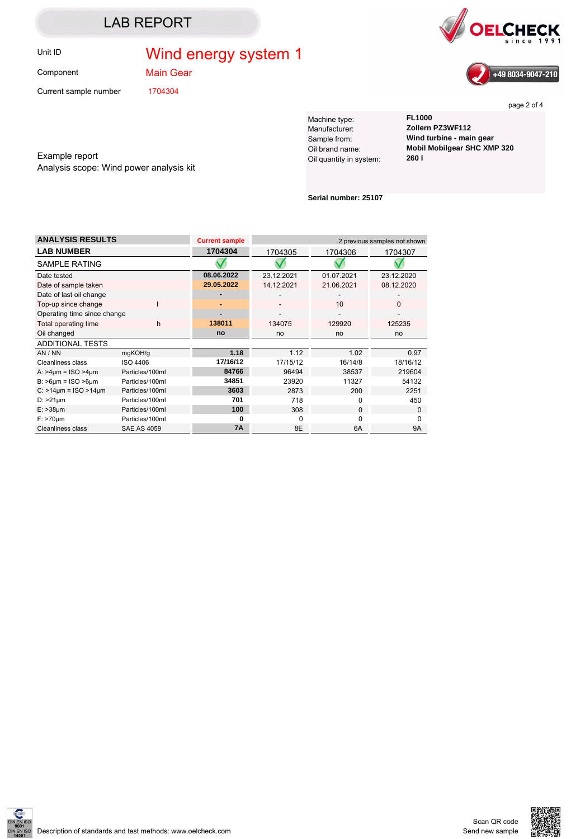# Unit ID **Wind energy system 1**

Component

Main Gear

Current sample number 1704304





page 2 of 4

Example report Analysis scope: Wind power analysis kit

Machine type: **FL1000** Manufacturer: **Zollern PZ3WF112** Oil quantity in system:

Sample from: **Wind turbine - main gear** Oil brand name: **Mobil Mobilgear SHC XMP 320**

**Serial number: 25107**

| <b>ANALYSIS RESULTS</b>          |                    | <b>Current sample</b> |            | 2 previous samples not shown |            |  |
|----------------------------------|--------------------|-----------------------|------------|------------------------------|------------|--|
| <b>LAB NUMBER</b>                |                    | 1704304               | 1704305    | 1704306                      | 1704307    |  |
| SAMPLE RATING                    |                    |                       |            |                              |            |  |
| Date tested                      |                    | 08.06.2022            | 23.12.2021 | 01.07.2021                   | 23.12.2020 |  |
| Date of sample taken             |                    | 29.05.2022            | 14.12.2021 | 21.06.2021                   | 08.12.2020 |  |
| Date of last oil change          |                    |                       |            |                              |            |  |
| Top-up since change              |                    |                       |            | 10                           | o          |  |
| Operating time since change      |                    |                       |            |                              |            |  |
| Total operating time             | h                  | 138011                | 134075     | 129920                       | 125235     |  |
| Oil changed                      |                    | no                    | no         | no                           | no         |  |
| <b>ADDITIONAL TESTS</b>          |                    |                       |            |                              |            |  |
| AN / NN                          | mgKOH/g            | 1.18                  | 1.12       | 1.02                         | 0.97       |  |
| <b>Cleanliness class</b>         | ISO 4406           | 17/16/12              | 17/15/12   | 16/14/8                      | 18/16/12   |  |
| A: $>4 \mu m =$ ISO $>4 \mu m$   | Particles/100ml    | 84766                 | 96494      | 38537                        | 219604     |  |
| $B:$ >6 $\mu$ m = ISO >6 $\mu$ m | Particles/100ml    | 34851                 | 23920      | 11327                        | 54132      |  |
| $C: >14 \mu m = ISO >14 \mu m$   | Particles/100ml    | 3603                  | 2873       | 200                          | 2251       |  |
| $D:$ >21 $\mu$ m                 | Particles/100ml    | 701                   | 718        | <sup>0</sup>                 | 450        |  |
| $E:$ >38 $\mu$ m                 | Particles/100ml    | 100                   | 308        | $\Omega$                     | 0          |  |
| $F:$ >70 $µm$                    | Particles/100ml    | ŋ                     | O          | U                            |            |  |
| <b>Cleanliness class</b>         | <b>SAE AS 4059</b> | <b>7A</b>             | 8E         | 6A                           | <b>9A</b>  |  |



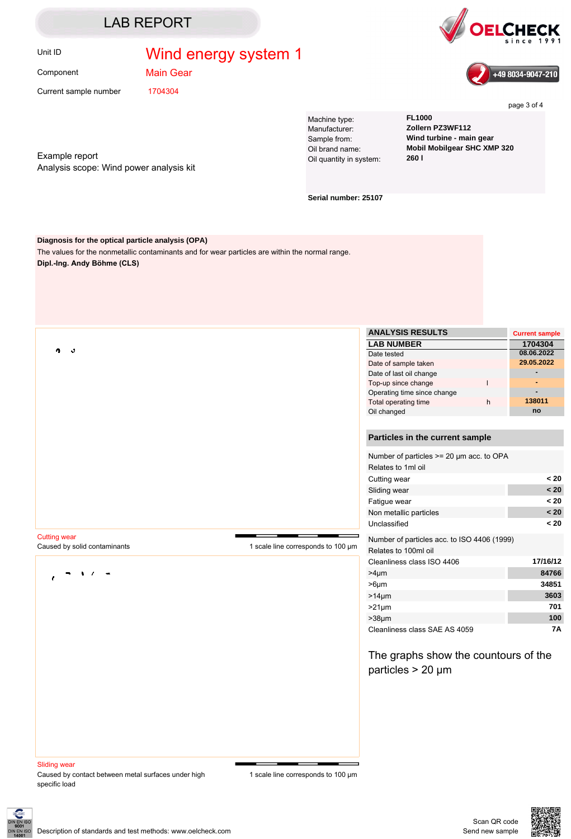# Unit ID **Wind energy system 1**

Component

Main Gear

Current sample number 1704304

Example report Analysis scope: Wind power analysis kit

Machine type: **FL1000** Manufacturer: **Zollern PZ3WF112** Oil quantity in system:

Sample from: **Wind turbine - main gear** Oil brand name: **Mobil Mobilgear SHC XMP 320**

**Serial number: 25107**

#### **Diagnosis for the optical particle analysis (OPA)**

The values for the nonmetallic contaminants and for wear particles are within the normal range. **Dipl.-Ing. Andy Böhme (CLS)**

|                              |                                    | <b>ANALYSIS RESULTS</b>                                        |              | <b>Current sample</b> |
|------------------------------|------------------------------------|----------------------------------------------------------------|--------------|-----------------------|
|                              |                                    | <b>LAB NUMBER</b>                                              |              | 1704304               |
| ه<br>4                       |                                    | Date tested                                                    |              | 08.06.2022            |
|                              |                                    | Date of sample taken                                           |              | 29.05.2022            |
|                              |                                    | Date of last oil change                                        |              |                       |
|                              |                                    | Top-up since change                                            | $\mathsf{I}$ |                       |
|                              |                                    | Operating time since change                                    |              |                       |
|                              |                                    | Total operating time                                           | h            | 138011                |
|                              |                                    | Oil changed                                                    |              | no                    |
|                              |                                    | Particles in the current sample                                |              |                       |
|                              |                                    | Number of particles >= 20 µm acc. to OPA<br>Relates to 1ml oil |              |                       |
|                              |                                    | Cutting wear                                                   |              | < 20                  |
|                              |                                    | Sliding wear                                                   |              | < 20                  |
|                              |                                    | Fatigue wear                                                   |              | < 20                  |
|                              |                                    | Non metallic particles                                         |              | < 20                  |
|                              |                                    | Unclassified                                                   |              | < 20                  |
| <b>Cutting wear</b>          |                                    | Number of particles acc. to ISO 4406 (1999)                    |              |                       |
| Caused by solid contaminants | 1 scale line corresponds to 100 um | Relates to 100ml oil                                           |              |                       |
|                              |                                    | Cleanliness class ISO 4406                                     |              | 17/16/12              |
|                              |                                    | $>4 \mu m$                                                     |              | 84766                 |
|                              |                                    | $>6 \mu m$                                                     |              | 34851                 |
|                              |                                    | $>14 \mu m$                                                    |              | 3603                  |
|                              |                                    | $>21 \mu m$                                                    |              | 701                   |
|                              |                                    | $>38 \mu m$                                                    |              | 100                   |
|                              |                                    | Cleanliness class SAE AS 4059                                  |              | 7Α                    |
|                              |                                    | The graphs show the countours of the                           |              |                       |
|                              |                                    | particles $> 20 \mu m$                                         |              |                       |
|                              |                                    |                                                                |              |                       |
|                              |                                    |                                                                |              |                       |
|                              |                                    |                                                                |              |                       |
|                              |                                    |                                                                |              |                       |
| <b>Sliding wear</b>          |                                    |                                                                |              |                       |

Caused by contact between metal surfaces under high specific load







page 3 of 4